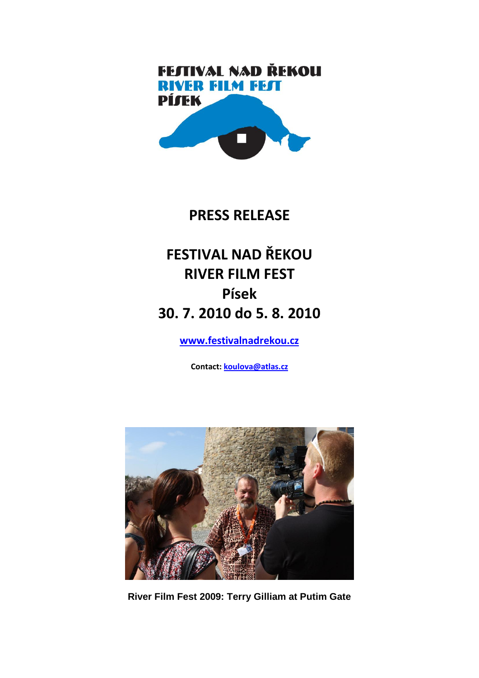# **FEJTIVAL NAD ŘEKOU RIVER FILM FEST PÍJEK**

# **PRESS RELEASE**

# **FESTIVAL NAD ŘEKOU RIVER FILM FEST Písek 30. 7. 2010 do 5. 8. 2010**

**[www.festivalnadrekou.cz](http://www.festivalnadrekou.cz/)**

**Contact: [koulova@atlas.cz](mailto:marketa.havasova@festivalnadrekou.cz)**



**River Film Fest 2009: Terry Gilliam at Putim Gate**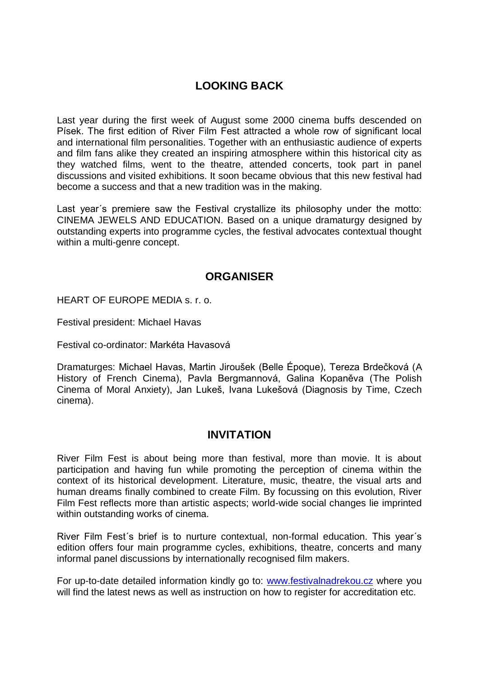# **LOOKING BACK**

Last year during the first week of August some 2000 cinema buffs descended on Písek. The first edition of River Film Fest attracted a whole row of significant local and international film personalities. Together with an enthusiastic audience of experts and film fans alike they created an inspiring atmosphere within this historical city as they watched films, went to the theatre, attended concerts, took part in panel discussions and visited exhibitions. It soon became obvious that this new festival had become a success and that a new tradition was in the making.

Last year´s premiere saw the Festival crystallize its philosophy under the motto: CINEMA JEWELS AND EDUCATION. Based on a unique dramaturgy designed by outstanding experts into programme cycles, the festival advocates contextual thought within a multi-genre concept.

# **ORGANISER**

HEART OF EUROPE MEDIA s. r. o.

Festival president: Michael Havas

Festival co-ordinator: Markéta Havasová

Dramaturges: Michael Havas, Martin Jiroušek (Belle Époque), Tereza Brdečková (A History of French Cinema), Pavla Bergmannová, Galina Kopaněva (The Polish Cinema of Moral Anxiety), Jan Lukeš, Ivana Lukešová (Diagnosis by Time, Czech cinema).

#### **INVITATION**

River Film Fest is about being more than festival, more than movie. It is about participation and having fun while promoting the perception of cinema within the context of its historical development. Literature, music, theatre, the visual arts and human dreams finally combined to create Film. By focussing on this evolution, River Film Fest reflects more than artistic aspects; world-wide social changes lie imprinted within outstanding works of cinema.

River Film Fest´s brief is to nurture contextual, non-formal education. This year´s edition offers four main programme cycles, exhibitions, theatre, concerts and many informal panel discussions by internationally recognised film makers.

For up-to-date detailed information kindly go to: [www.festivalnadrekou.cz](http://www.festivalnadrekou.cz/) where you will find the latest news as well as instruction on how to register for accreditation etc.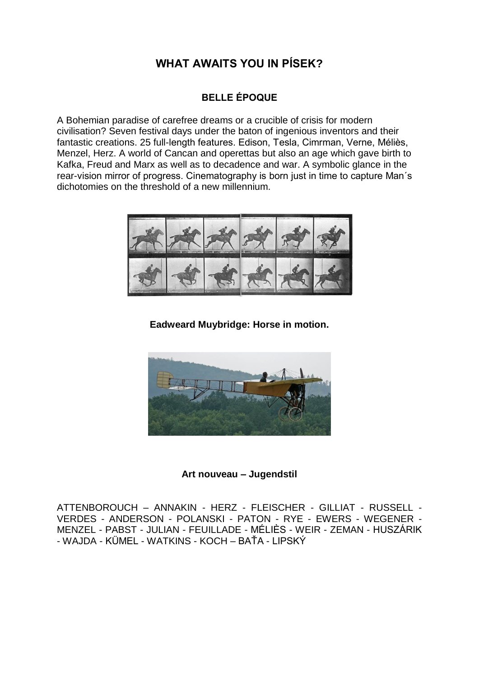# **WHAT AWAITS YOU IN PÍSEK?**

# **BELLE ÉPOQUE**

A Bohemian paradise of carefree dreams or a crucible of crisis for modern civilisation? Seven festival days under the baton of ingenious inventors and their fantastic creations. 25 full-length features. Edison, Tesla, Cimrman, Verne, Méliès, Menzel, Herz. A world of Cancan and operettas but also an age which gave birth to Kafka, Freud and Marx as well as to decadence and war. A symbolic glance in the rear-vision mirror of progress. Cinematography is born just in time to capture Man´s dichotomies on the threshold of a new millennium.



**Eadweard Muybridge: Horse in motion.**



**Art nouveau – Jugendstil**

ATTENBOROUCH – ANNAKIN - HERZ - FLEISCHER - [GILLIAT](http://www.imdb.com/name/nm0319148/) - RUSSELL - VERDES - ANDERSON - POLANSKI - PATON - RYE - EWERS - WEGENER - MENZEL - PABST - JULIAN - FEUILLADE - MÉLIÈS - WEIR - ZEMAN - HUSZÁRIK - WAJDA - KÜMEL - WATKINS - KOCH – BAŤA - LIPSKÝ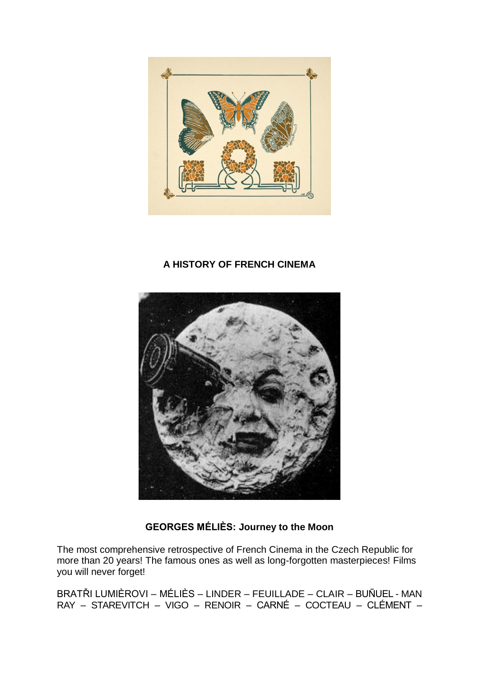

# **A HISTORY OF FRENCH CINEMA**



# **GEORGES MÉLIÈS: Journey to the Moon**

The most comprehensive retrospective of French Cinema in the Czech Republic for more than 20 years! The famous ones as well as long-forgotten masterpieces! Films you will never forget!

BRATŘI LUMIÈROVI – MÉLIÈS – LINDER – FEUILLADE – CLAIR – BUÑUEL - MAN RAY – STAREVITCH – VIGO – RENOIR – CARNÉ – COCTEAU – CLÉMENT –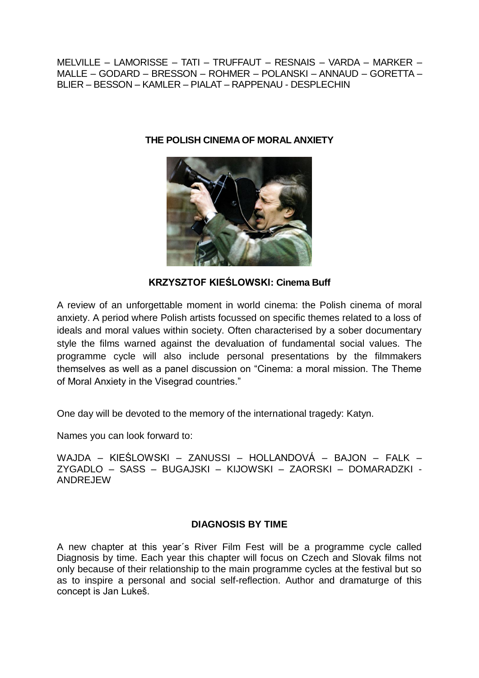MELVILLE – LAMORISSE – TATI – TRUFFAUT – RESNAIS – VARDA – MARKER – MALLE – GODARD – BRESSON – ROHMER – POLANSKI – ANNAUD – GORETTA – BLIER – BESSON – KAMLER – PIALAT – RAPPENAU - DESPLECHIN



**THE POLISH CINEMA OF MORAL ANXIETY**

**KRZYSZTOF KIEŚLOWSKI: Cinema Buff**

A review of an unforgettable moment in world cinema: the Polish cinema of moral anxiety. A period where Polish artists focussed on specific themes related to a loss of ideals and moral values within society. Often characterised by a sober documentary style the films warned against the devaluation of fundamental social values. The programme cycle will also include personal presentations by the filmmakers themselves as well as a panel discussion on "Cinema: a moral mission. The Theme of Moral Anxiety in the Visegrad countries."

One day will be devoted to the memory of the international tragedy: Katyn.

Names you can look forward to:

WAJDA – KIEŚLOWSKI – ZANUSSI – HOLLANDOVÁ – BAJON – FALK – ZYGADLO – SASS – BUGAJSKI – KIJOWSKI – ZAORSKI – DOMARADZKI - ANDREJEW

#### **DIAGNOSIS BY TIME**

A new chapter at this year´s River Film Fest will be a programme cycle called Diagnosis by time. Each year this chapter will focus on Czech and Slovak films not only because of their relationship to the main programme cycles at the festival but so as to inspire a personal and social self-reflection. Author and dramaturge of this concept is Jan Lukeš.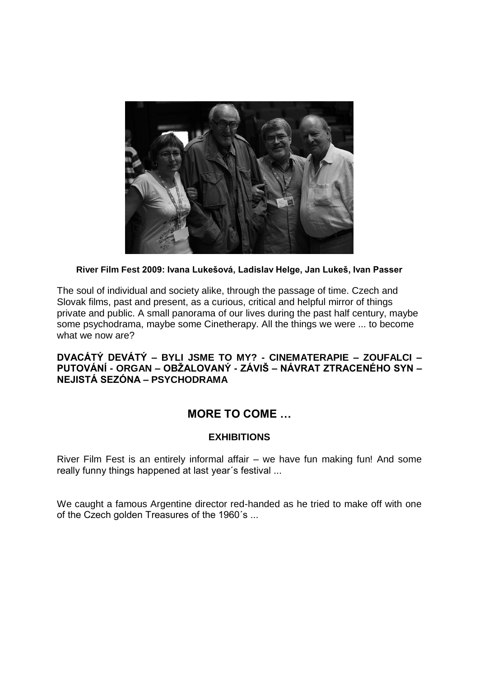

#### **River Film Fest 2009: Ivana Lukešová, Ladislav Helge, Jan Lukeš, Ivan Passer**

The soul of individual and society alike, through the passage of time. Czech and Slovak films, past and present, as a curious, critical and helpful mirror of things private and public. A small panorama of our lives during the past half century, maybe some psychodrama, maybe some Cinetherapy. All the things we were ... to become what we now are?

#### **DVACÁTÝ DEVÁTÝ – BYLI JSME TO MY? - CINEMATERAPIE – ZOUFALCI – PUTOVÁNÍ - ORGAN – OBŢALOVANÝ - ZÁVIŠ – NÁVRAT ZTRACENÉHO SYN – NEJISTÁ SEZÓNA – PSYCHODRAMA**

# **MORE TO COME …**

#### **EXHIBITIONS**

River Film Fest is an entirely informal affair – we have fun making fun! And some really funny things happened at last year´s festival ...

We caught a famous Argentine director red-handed as he tried to make off with one of the Czech golden Treasures of the 1960´s ...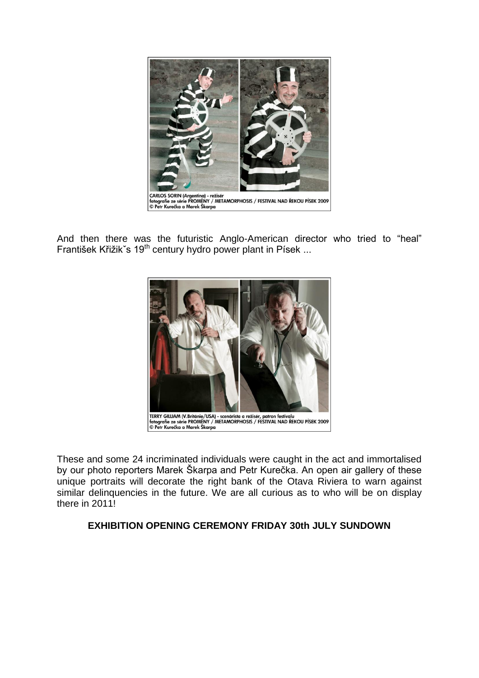

And then there was the futuristic Anglo-American director who tried to "heal" František Křižik`s 19<sup>th</sup> century hydro power plant in Písek ...



These and some 24 incriminated individuals were caught in the act and immortalised by our photo reporters Marek Škarpa and Petr Kurečka. An open air gallery of these unique portraits will decorate the right bank of the Otava Riviera to warn against similar delinquencies in the future. We are all curious as to who will be on display there in 2011!

#### **EXHIBITION OPENING CEREMONY FRIDAY 30th JULY SUNDOWN**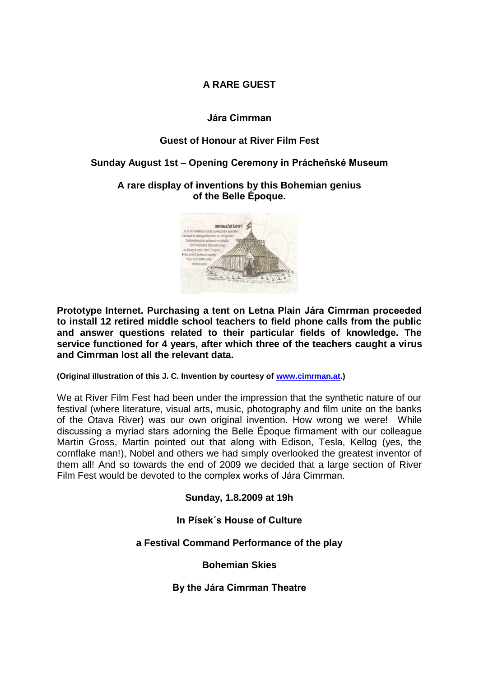#### **A RARE GUEST**

#### **Jára Cimrman**

#### **Guest of Honour at River Film Fest**

#### **Sunday August 1st – Opening Ceremony in Prácheňské Museum**

**A rare display of inventions by this Bohemian genius of the Belle Époque.**



**Prototype Internet. Purchasing a tent on Letna Plain Jára Cimrman proceeded to install 12 retired middle school teachers to field phone calls from the public and answer questions related to their particular fields of knowledge. The service functioned for 4 years, after which three of the teachers caught a virus and Cimrman lost all the relevant data.**

**(Original illustration of this J. C. Invention by courtesy of [www.cimrman.at.](http://www.cimrman.at/))**

We at River Film Fest had been under the impression that the synthetic nature of our festival (where literature, visual arts, music, photography and film unite on the banks of the Otava River) was our own original invention. How wrong we were! While discussing a myriad stars adorning the Belle Époque firmament with our colleague Martin Gross, Martin pointed out that along with Edison, Tesla, Kellog (yes, the cornflake man!), Nobel and others we had simply overlooked the greatest inventor of them all! And so towards the end of 2009 we decided that a large section of River Film Fest would be devoted to the complex works of Jára Cimrman.

**Sunday, 1.8.2009 at 19h**

**In Písek´s House of Culture**

**a Festival Command Performance of the play**

**Bohemian Skies**

**By the Jára Cimrman Theatre**